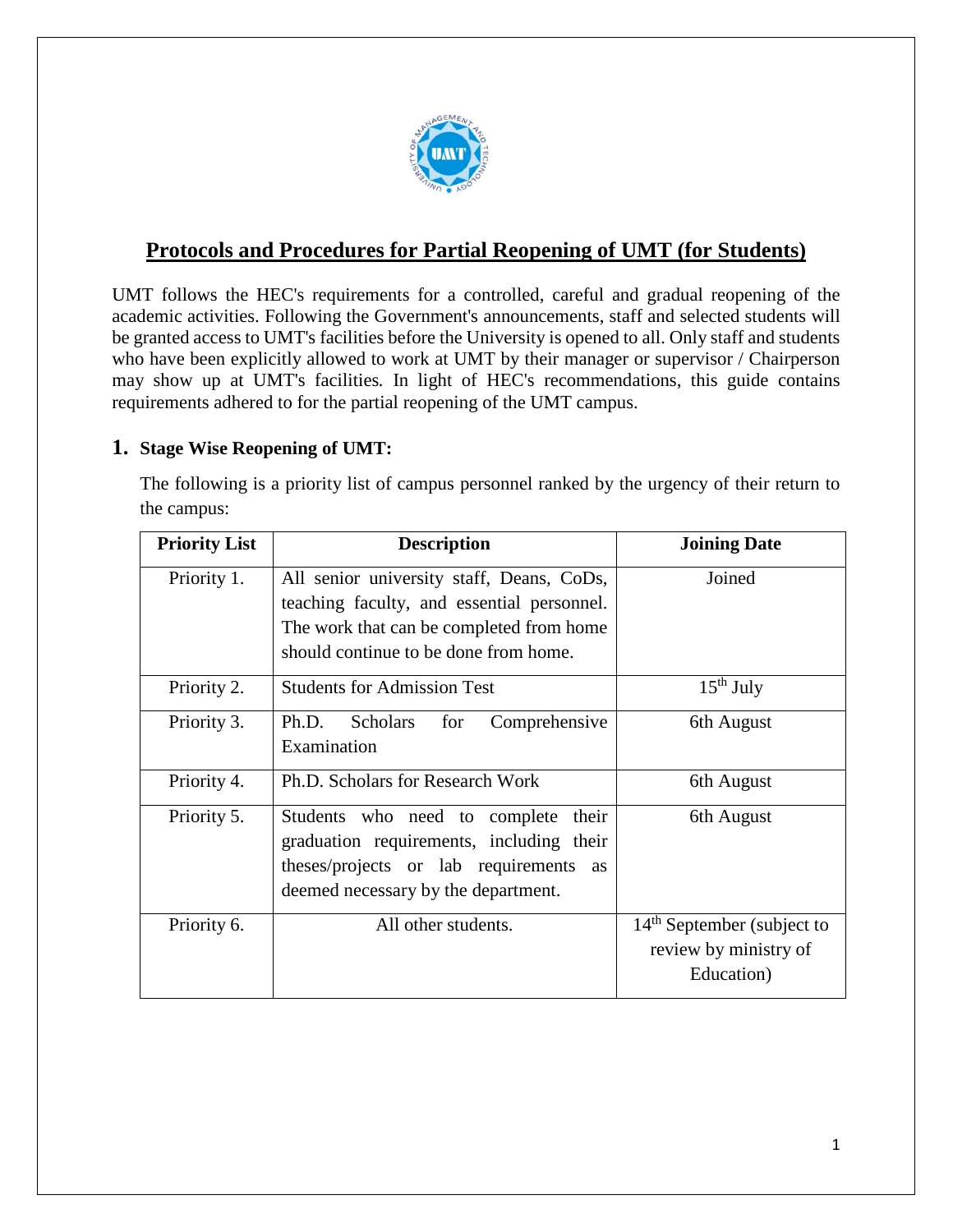

# **Protocols and Procedures for Partial Reopening of UMT (for Students)**

UMT follows the HEC's requirements for a controlled, careful and gradual reopening of the academic activities. Following the Government's announcements, staff and selected students will be granted access to UMT's facilities before the University is opened to all. Only staff and students who have been explicitly allowed to work at UMT by their manager or supervisor / Chairperson may show up at UMT's facilities*.* In light of HEC's recommendations, this guide contains requirements adhered to for the partial reopening of the UMT campus.

### **1. Stage Wise Reopening of UMT:**

The following is a priority list of campus personnel ranked by the urgency of their return to the campus:

| <b>Priority List</b> | <b>Description</b>                                                                                                                                                           | <b>Joining Date</b>                                                           |
|----------------------|------------------------------------------------------------------------------------------------------------------------------------------------------------------------------|-------------------------------------------------------------------------------|
| Priority 1.          | All senior university staff, Deans, CoDs,<br>teaching faculty, and essential personnel.<br>The work that can be completed from home<br>should continue to be done from home. | Joined                                                                        |
| Priority 2.          | <b>Students for Admission Test</b>                                                                                                                                           | $15th$ July                                                                   |
| Priority 3.          | <b>Scholars</b><br>Ph.D.<br>for<br>Comprehensive<br>Examination                                                                                                              | 6th August                                                                    |
| Priority 4.          | Ph.D. Scholars for Research Work                                                                                                                                             | 6th August                                                                    |
| Priority 5.          | Students who need to complete<br>their<br>graduation requirements, including their<br>theses/projects or lab requirements as<br>deemed necessary by the department.          | 6th August                                                                    |
| Priority 6.          | All other students.                                                                                                                                                          | 14 <sup>th</sup> September (subject to<br>review by ministry of<br>Education) |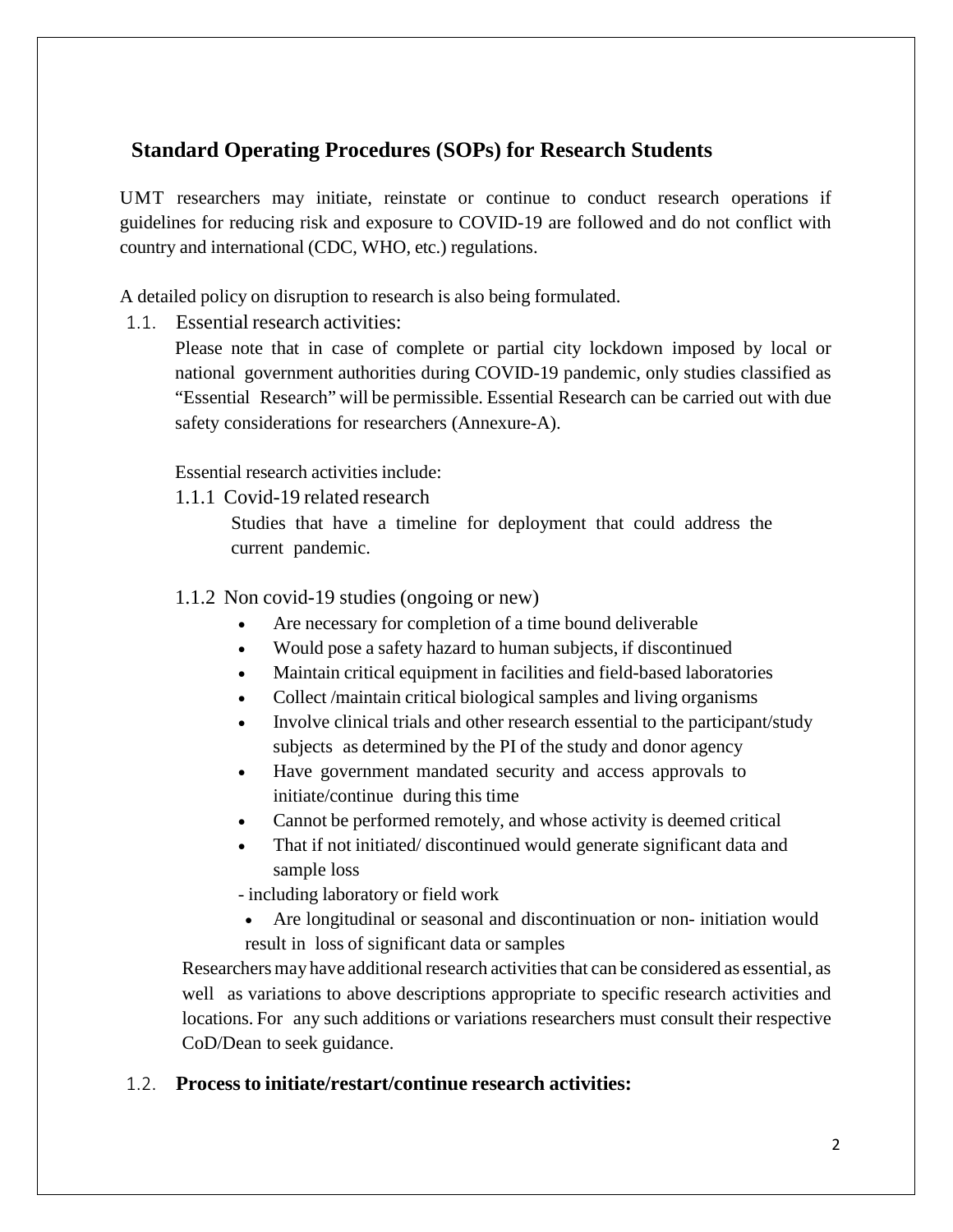## **Standard Operating Procedures (SOPs) for Research Students**

UMT researchers may initiate, reinstate or continue to conduct research operations if guidelines for reducing risk and exposure to COVID-19 are followed and do not conflict with country and international (CDC, WHO, etc.) regulations.

A detailed policy on disruption to research is also being formulated.

1.1. Essential research activities:

Please note that in case of complete or partial city lockdown imposed by local or national government authorities during COVID-19 pandemic, only studies classified as "Essential Research" will be permissible. Essential Research can be carried out with due safety considerations for researchers (Annexure-A).

Essential research activities include:

1.1.1 Covid-19 related research

Studies that have a timeline for deployment that could address the current pandemic.

1.1.2 Non covid-19 studies (ongoing or new)

- Are necessary for completion of a time bound deliverable
- Would pose a safety hazard to human subjects, if discontinued
- Maintain critical equipment in facilities and field-based laboratories
- Collect /maintain critical biological samples and living organisms
- Involve clinical trials and other research essential to the participant/study subjects as determined by the PI of the study and donor agency
- Have government mandated security and access approvals to initiate/continue during this time
- Cannot be performed remotely, and whose activity is deemed critical
- That if not initiated/ discontinued would generate significant data and sample loss

- including laboratory or field work

• Are longitudinal or seasonal and discontinuation or non- initiation would result in loss of significant data or samples

Researchers may have additional research activities that can be considered as essential, as well as variations to above descriptions appropriate to specific research activities and locations. For any such additions or variations researchers must consult their respective CoD/Dean to seek guidance.

## 1.2. **Process to initiate/restart/continue research activities:**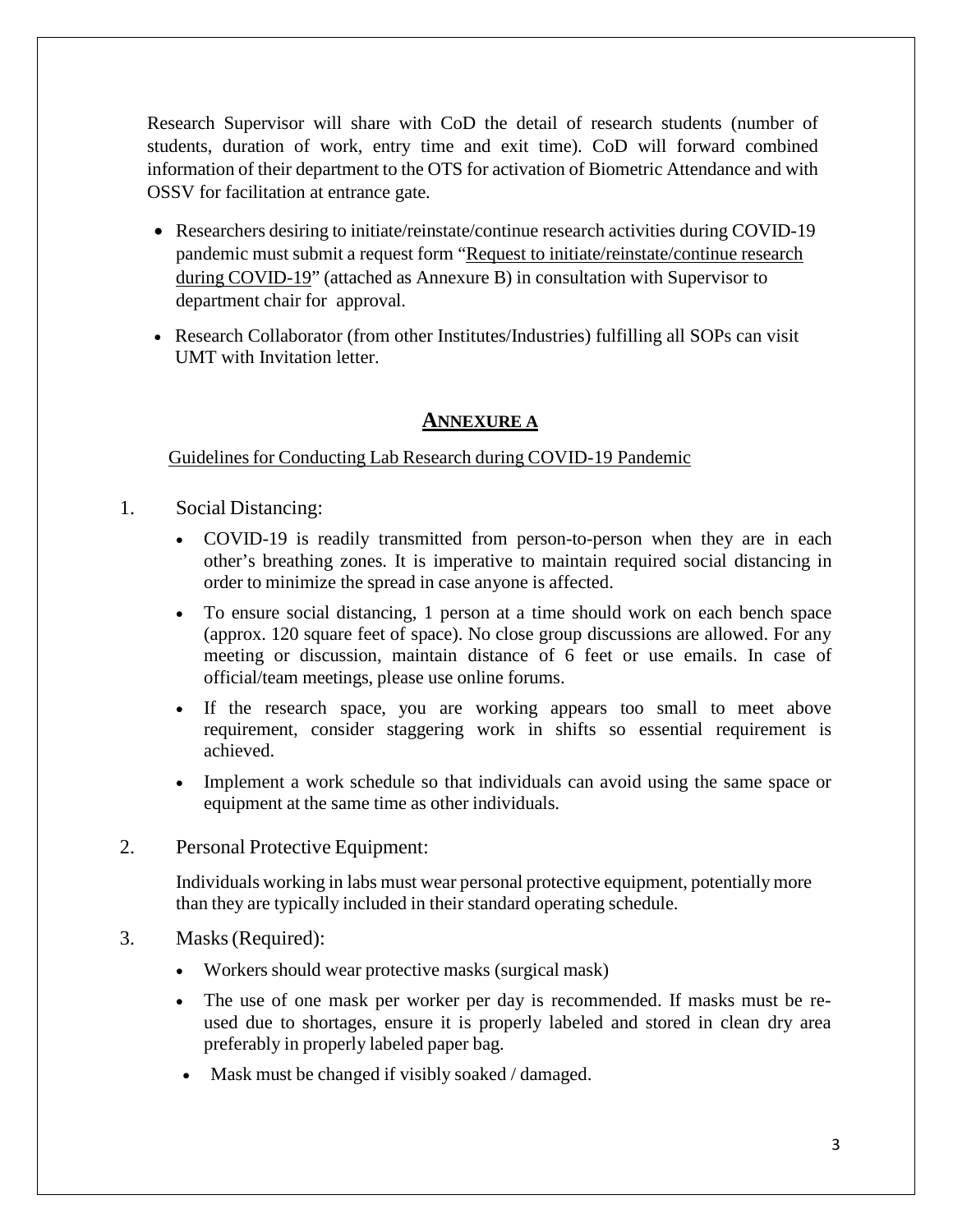Research Supervisor will share with CoD the detail of research students (number of students, duration of work, entry time and exit time). CoD will forward combined information of their department to the OTS for activation of Biometric Attendance and with OSSV for facilitation at entrance gate.

- Researchers desiring to initiate/reinstate/continue research activities during COVID-19 pandemic must submit a request form "Request to initiate/reinstate/continue research during COVID-19" (attached as Annexure B) in consultation with Supervisor to department chair for approval.
- Research Collaborator (from other Institutes/Industries) fulfilling all SOPs can visit UMT with Invitation letter.

## **ANNEXURE A**

Guidelines for Conducting Lab Research during COVID-19 Pandemic

- 1. Social Distancing:
	- COVID-19 is readily transmitted from person-to-person when they are in each other's breathing zones. It is imperative to maintain required social distancing in order to minimize the spread in case anyone is affected.
	- To ensure social distancing, 1 person at a time should work on each bench space (approx. 120 square feet of space). No close group discussions are allowed. For any meeting or discussion, maintain distance of 6 feet or use emails. In case of official/team meetings, please use online forums.
	- If the research space, you are working appears too small to meet above requirement, consider staggering work in shifts so essential requirement is achieved.
	- Implement a work schedule so that individuals can avoid using the same space or equipment at the same time as other individuals.
- 2. Personal Protective Equipment:

Individuals working in labs must wear personal protective equipment, potentially more than they are typically included in their standard operating schedule.

- 3. Masks(Required):
	- Workers should wear protective masks (surgical mask)
	- The use of one mask per worker per day is recommended. If masks must be reused due to shortages, ensure it is properly labeled and stored in clean dry area preferably in properly labeled paper bag.
	- Mask must be changed if visibly soaked / damaged.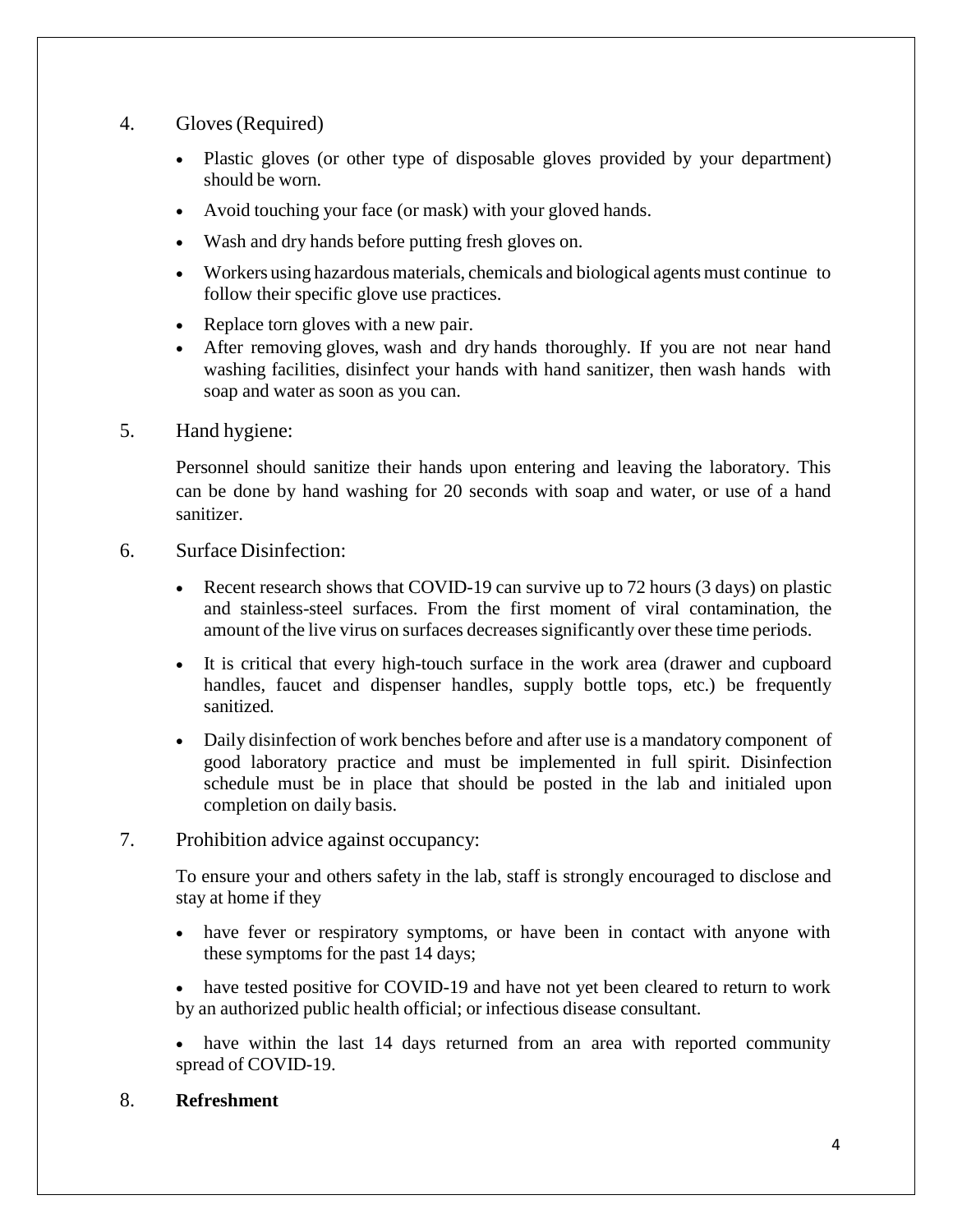#### 4. Gloves(Required)

- Plastic gloves (or other type of disposable gloves provided by your department) should be worn.
- Avoid touching your face (or mask) with your gloved hands.
- Wash and dry hands before putting fresh gloves on.
- Workers using hazardous materials, chemicals and biological agents must continue to follow their specific glove use practices.
- Replace torn gloves with a new pair.
- After removing gloves, wash and dry hands thoroughly. If you are not near hand washing facilities, disinfect your hands with hand sanitizer, then wash hands with soap and water as soon as you can.

### 5. Hand hygiene:

Personnel should sanitize their hands upon entering and leaving the laboratory. This can be done by hand washing for 20 seconds with soap and water, or use of a hand sanitizer.

### 6. Surface Disinfection:

- Recent research shows that COVID-19 can survive up to 72 hours (3 days) on plastic and stainless-steel surfaces. From the first moment of viral contamination, the amount of the live virus on surfaces decreases significantly over these time periods.
- It is critical that every high-touch surface in the work area (drawer and cupboard handles, faucet and dispenser handles, supply bottle tops, etc.) be frequently sanitized.
- Daily disinfection of work benches before and after use is a mandatory component of good laboratory practice and must be implemented in full spirit. Disinfection schedule must be in place that should be posted in the lab and initialed upon completion on daily basis.

## 7. Prohibition advice against occupancy:

To ensure your and others safety in the lab, staff is strongly encouraged to disclose and stay at home if they

- have fever or respiratory symptoms, or have been in contact with anyone with these symptoms for the past 14 days;
- have tested positive for COVID-19 and have not yet been cleared to return to work by an authorized public health official; or infectious disease consultant.
- have within the last 14 days returned from an area with reported community spread of COVID-19.

## 8. **Refreshment**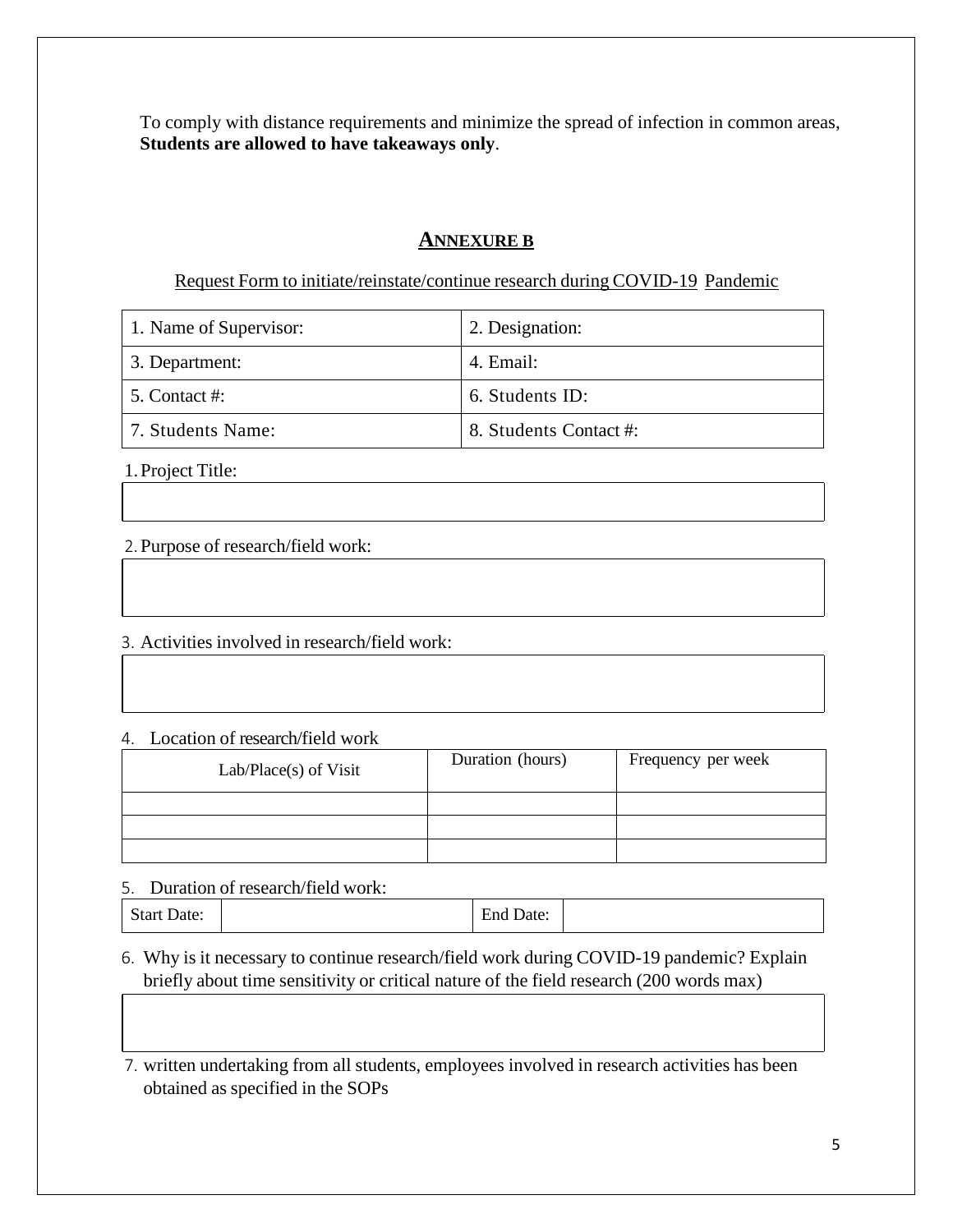To comply with distance requirements and minimize the spread of infection in common areas, **Students are allowed to have takeaways only**.

### **ANNEXURE B**

Request Form to initiate/reinstate/continue research during COVID-19 Pandemic

| 1. Name of Supervisor: | 2. Designation:        |
|------------------------|------------------------|
| 3. Department:         | 4. Email:              |
| 5. Contact #:          | 6. Students ID:        |
| 7. Students Name:      | 8. Students Contact #: |

1.Project Title:

2.Purpose of research/field work:

3. Activities involved in research/field work:

4. Location of research/field work

| $Lab/Place(s)$ of Visit | Duration (hours) | Frequency per week |
|-------------------------|------------------|--------------------|
|                         |                  |                    |
|                         |                  |                    |
|                         |                  |                    |

5. Duration of research/field work:

| $\sim$<br>start Date: | $\sim$<br>Date:<br>End. |
|-----------------------|-------------------------|
|-----------------------|-------------------------|

6. Why is it necessary to continue research/field work during COVID-19 pandemic? Explain briefly about time sensitivity or critical nature of the field research (200 words max)

7. written undertaking from all students, employees involved in research activities has been obtained as specified in the SOPs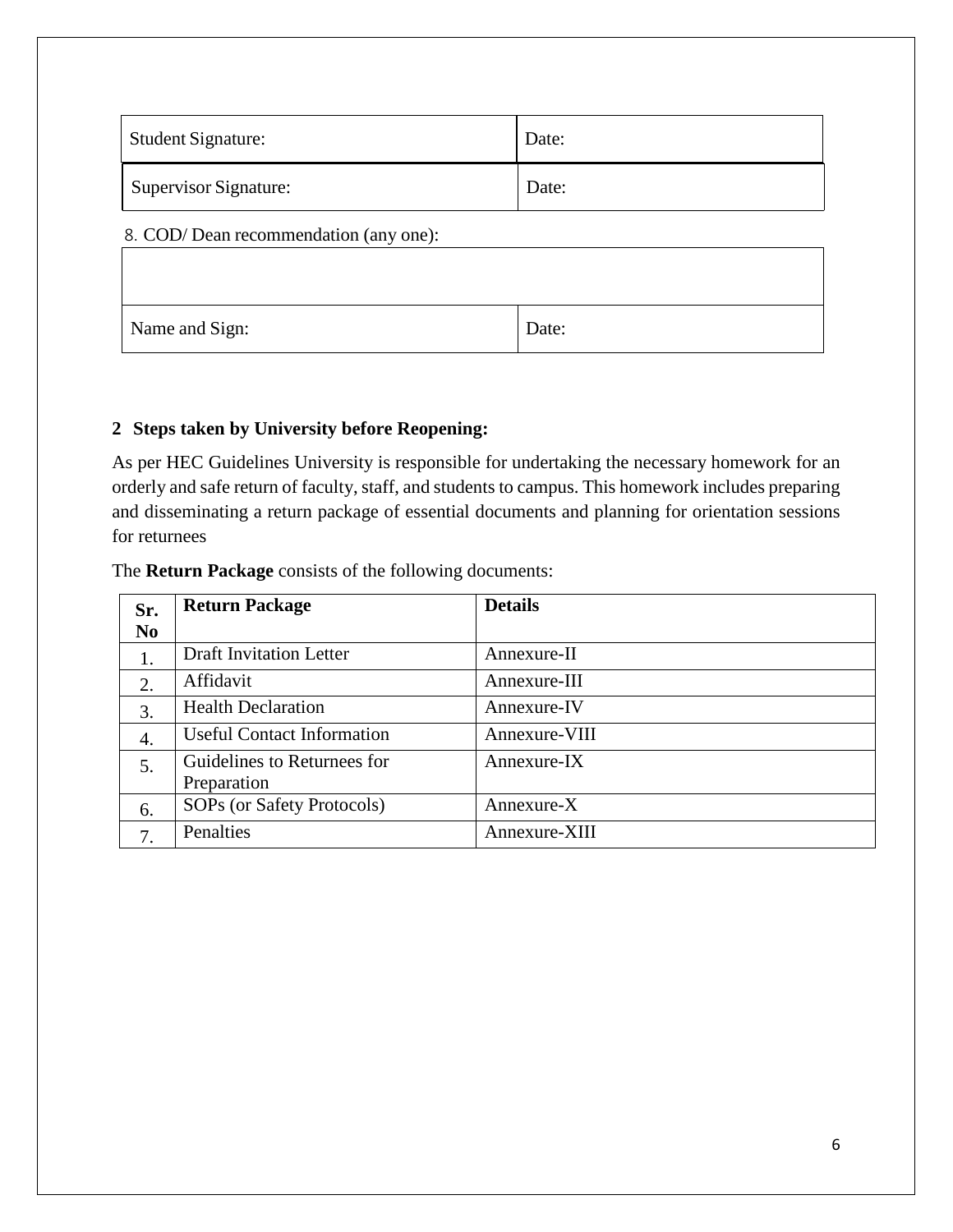| <b>Student Signature:</b> | Date: |
|---------------------------|-------|
| Supervisor Signature:     | Date: |

#### 8. COD/ Dean recommendation (any one):

| Name and Sign: | Date: |
|----------------|-------|

### **2 Steps taken by University before Reopening:**

As per HEC Guidelines University is responsible for undertaking the necessary homework for an orderly and safe return of faculty, staff, and students to campus. This homework includes preparing and disseminating a return package of essential documents and planning for orientation sessions for returnees

#### The **Return Package** consists of the following documents:

| Sr.            | <b>Return Package</b>             | <b>Details</b> |
|----------------|-----------------------------------|----------------|
| N <sub>0</sub> |                                   |                |
|                | <b>Draft Invitation Letter</b>    | Annexure-II    |
| 2.             | Affidavit                         | Annexure-III   |
| 3.             | <b>Health Declaration</b>         | Annexure-IV    |
| 4.             | <b>Useful Contact Information</b> | Annexure-VIII  |
| 5.             | Guidelines to Returnees for       | Annexure-IX    |
|                | Preparation                       |                |
| 6.             | SOPs (or Safety Protocols)        | $Annexure-X$   |
| 7.             | Penalties                         | Annexure-XIII  |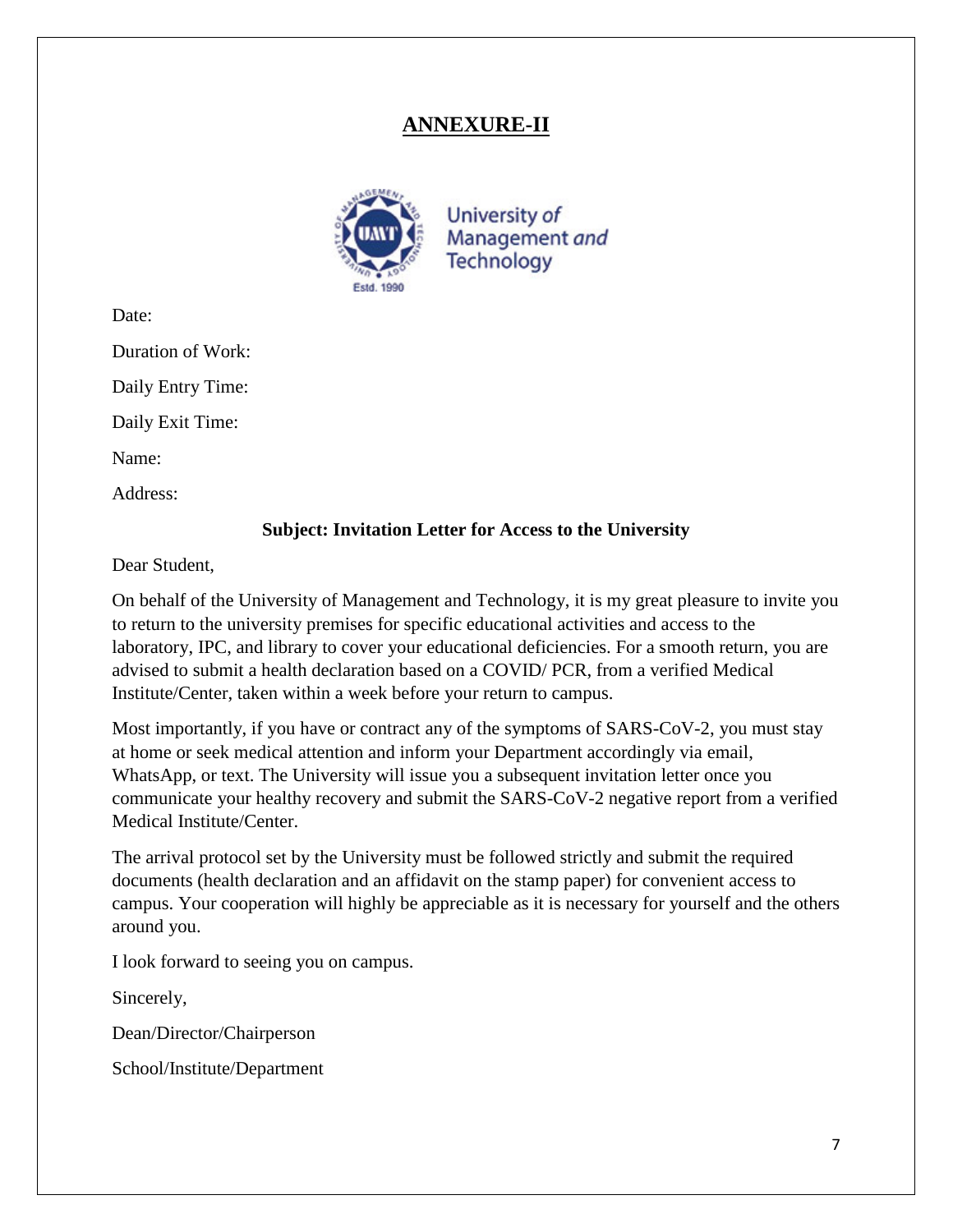## **ANNEXURE-II**



University of Management and **Technology** 

Date:

Duration of Work:

Daily Entry Time:

Daily Exit Time:

Name:

Address:

### **Subject: Invitation Letter for Access to the University**

Dear Student,

On behalf of the University of Management and Technology, it is my great pleasure to invite you to return to the university premises for specific educational activities and access to the laboratory, IPC, and library to cover your educational deficiencies. For a smooth return, you are advised to submit a health declaration based on a COVID/ PCR, from a verified Medical Institute/Center, taken within a week before your return to campus.

Most importantly, if you have or contract any of the symptoms of SARS-CoV-2, you must stay at home or seek medical attention and inform your Department accordingly via email, WhatsApp, or text. The University will issue you a subsequent invitation letter once you communicate your healthy recovery and submit the SARS-CoV-2 negative report from a verified Medical Institute/Center.

The arrival protocol set by the University must be followed strictly and submit the required documents (health declaration and an affidavit on the stamp paper) for convenient access to campus. Your cooperation will highly be appreciable as it is necessary for yourself and the others around you.

I look forward to seeing you on campus.

Sincerely,

Dean/Director/Chairperson

School/Institute/Department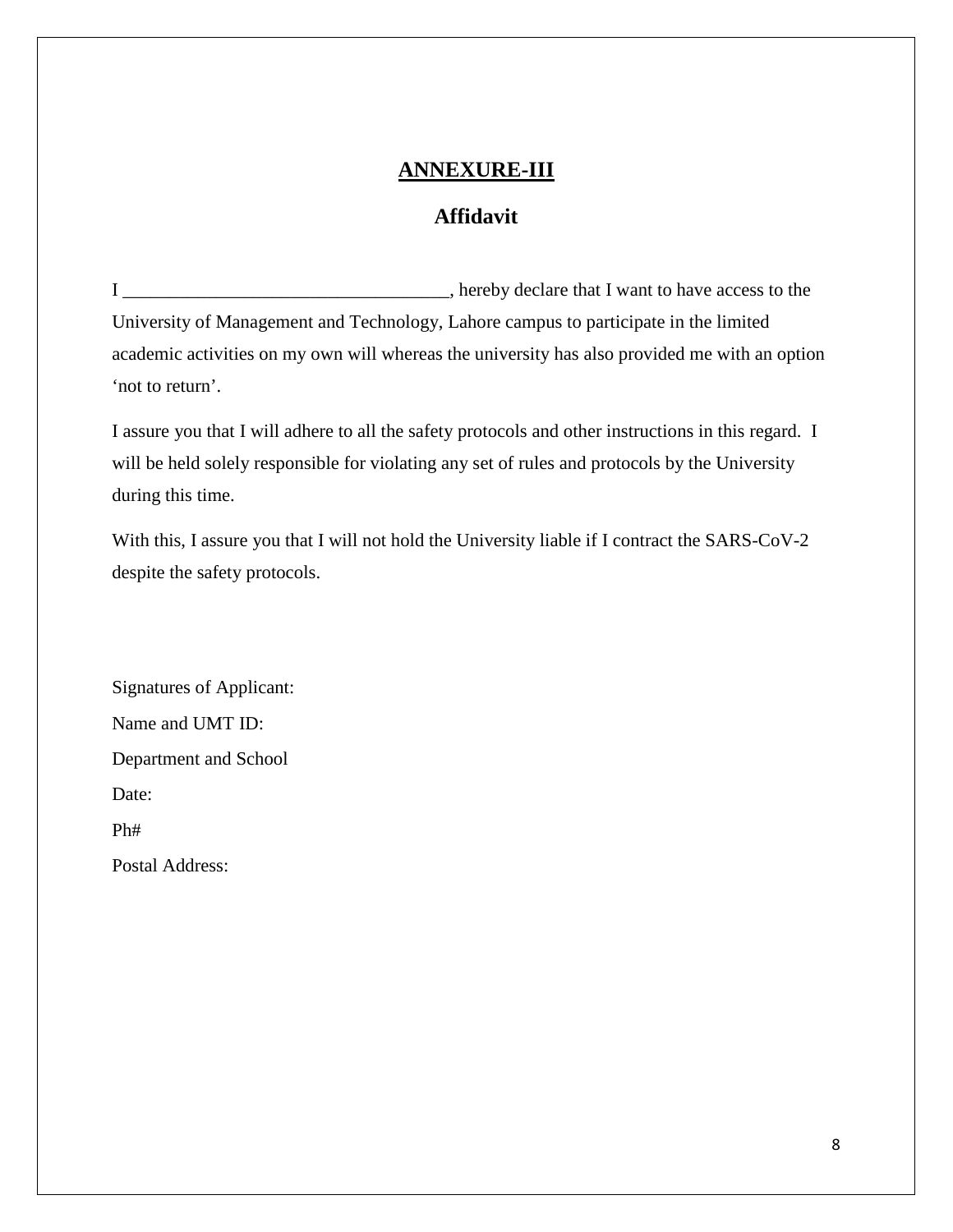## **ANNEXURE-III**

## **Affidavit**

I \_\_\_\_\_\_\_\_\_\_\_\_\_\_\_\_\_\_\_\_\_\_\_\_\_\_\_\_\_\_\_\_\_\_\_, hereby declare that I want to have access to the University of Management and Technology, Lahore campus to participate in the limited academic activities on my own will whereas the university has also provided me with an option 'not to return'.

I assure you that I will adhere to all the safety protocols and other instructions in this regard. I will be held solely responsible for violating any set of rules and protocols by the University during this time.

With this, I assure you that I will not hold the University liable if I contract the SARS-CoV-2 despite the safety protocols.

Signatures of Applicant: Name and UMT ID: Department and School Date: Ph# Postal Address: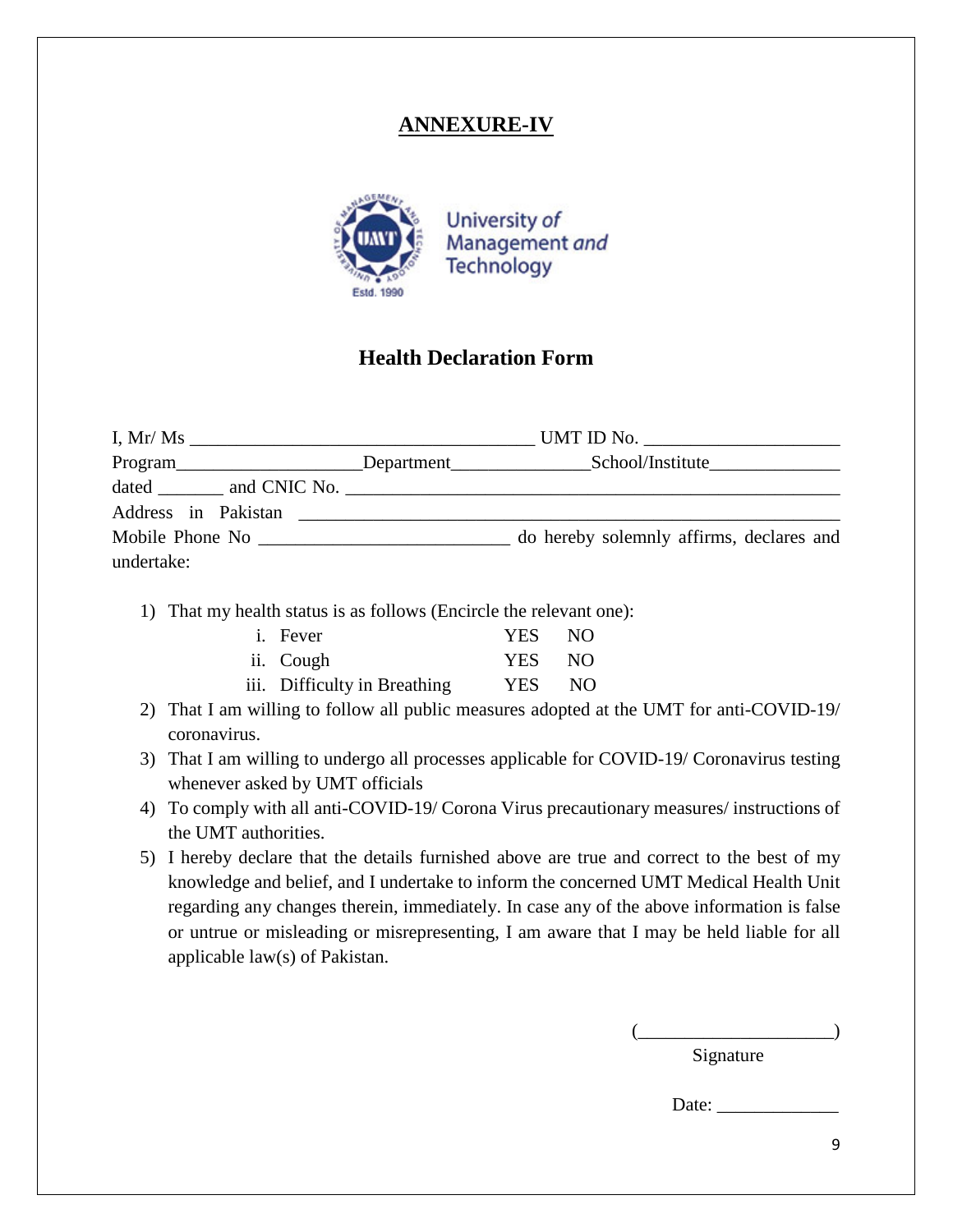## **ANNEXURE-IV**



## **Health Declaration Form**

|                      |                                                                                                                      | Program____________________Department_____________________School/Institute_________________________ |
|----------------------|----------------------------------------------------------------------------------------------------------------------|-----------------------------------------------------------------------------------------------------|
|                      |                                                                                                                      |                                                                                                     |
| Address in Pakistan  | <u> 1980 - Jan Samuel Barbara, margaret e</u> n 1980 eta eta eskualdean eta eskualdean eta eskualdean eta eskualdean |                                                                                                     |
| Mobile Phone No 2008 |                                                                                                                      | do hereby solemnly affirms, declares and                                                            |
| undertake:           |                                                                                                                      |                                                                                                     |

1) That my health status is as follows (Encircle the relevant one):

| <i>i</i> . Fever             | YES NO |      |
|------------------------------|--------|------|
| ii. Cough                    | YES NO |      |
| iii. Difficulty in Breathing | YES –  | - NO |

- 2) That I am willing to follow all public measures adopted at the UMT for anti-COVID-19/ coronavirus.
- 3) That I am willing to undergo all processes applicable for COVID-19/ Coronavirus testing whenever asked by UMT officials
- 4) To comply with all anti-COVID-19/ Corona Virus precautionary measures/ instructions of the UMT authorities.
- 5) I hereby declare that the details furnished above are true and correct to the best of my knowledge and belief, and I undertake to inform the concerned UMT Medical Health Unit regarding any changes therein, immediately. In case any of the above information is false or untrue or misleading or misrepresenting, I am aware that I may be held liable for all applicable law(s) of Pakistan.

 $(\underline{\hspace{1cm}})$ Signature

Date: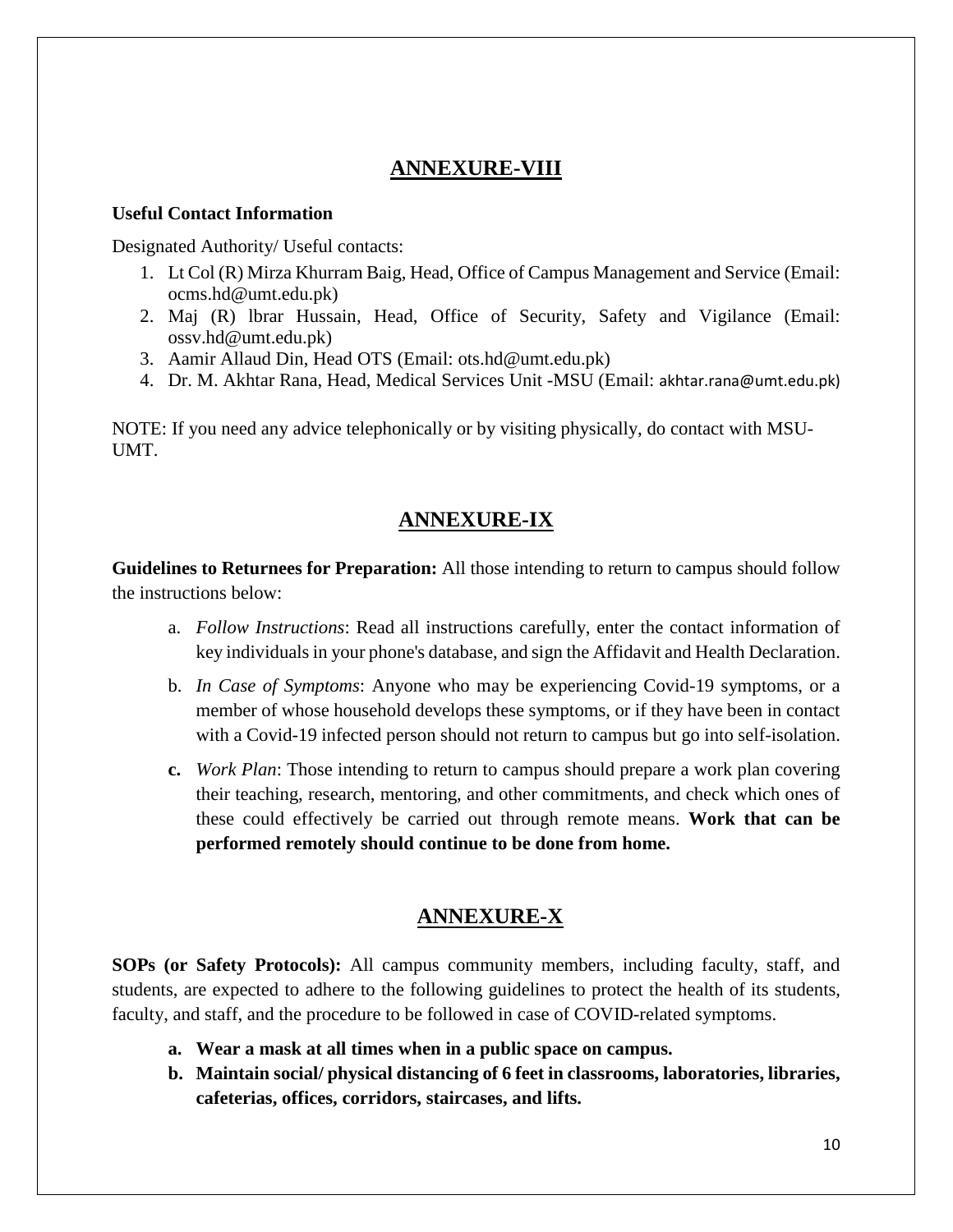## **ANNEXURE-VIII**

#### **Useful Contact Information**

Designated Authority/ Useful contacts:

- 1. Lt Col (R) Mirza Khurram Baig, Head, Office of Campus Management and Service (Email: ocms.hd@umt.edu.pk)
- 2. Maj (R) lbrar Hussain, Head, Office of Security, Safety and Vigilance (Email: ossv.hd@umt.edu.pk)
- 3. Aamir Allaud Din, Head OTS (Email: ots.hd@umt.edu.pk)
- 4. Dr. M. Akhtar Rana, Head, Medical Services Unit -MSU (Email: akhtar.rana@umt.edu.pk)

NOTE: If you need any advice telephonically or by visiting physically, do contact with MSU-UMT.

## **ANNEXURE-IX**

**Guidelines to Returnees for Preparation:** All those intending to return to campus should follow the instructions below:

- a. *Follow Instructions*: Read all instructions carefully, enter the contact information of key individuals in your phone's database, and sign the Affidavit and Health Declaration.
- b. *In Case of Symptoms*: Anyone who may be experiencing Covid-19 symptoms, or a member of whose household develops these symptoms, or if they have been in contact with a Covid-19 infected person should not return to campus but go into self-isolation.
- **c.** *Work Plan*: Those intending to return to campus should prepare a work plan covering their teaching, research, mentoring, and other commitments, and check which ones of these could effectively be carried out through remote means. **Work that can be performed remotely should continue to be done from home.**

## **ANNEXURE-X**

**SOPs (or Safety Protocols):** All campus community members, including faculty, staff, and students, are expected to adhere to the following guidelines to protect the health of its students, faculty, and staff, and the procedure to be followed in case of COVID-related symptoms.

- **a. Wear a mask at all times when in a public space on campus.**
- **b. Maintain social/ physical distancing of 6 feet in classrooms, laboratories, libraries, cafeterias, offices, corridors, staircases, and lifts.**